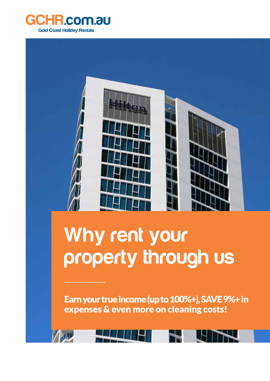



## **Why rent your property through us**

Earn your true income (up to 100%+), SAVE 9%+ in expenses & even more on cleaning costs!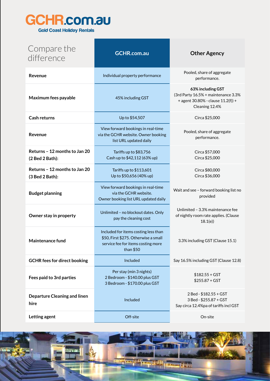

| Compare the<br>difference                        | <b>GCHR.com.au</b>                                                                                                               | <b>Other Agency</b>                                                                                              |
|--------------------------------------------------|----------------------------------------------------------------------------------------------------------------------------------|------------------------------------------------------------------------------------------------------------------|
| Revenue                                          | Individual property performance                                                                                                  | Pooled, share of aggregate<br>performance.                                                                       |
| Maximum fees payable                             | 45% including GST                                                                                                                | 63% including GST<br>(3rd Party 16.5% + maintenance 3.3%<br>+ agent 30.80% - clause 11.2(f)) +<br>Cleaning 12.4% |
| <b>Cash returns</b>                              | Up to \$54,507                                                                                                                   | Circa \$25,000                                                                                                   |
| Revenue                                          | View forward bookings in real-time<br>via the GCHR website. Owner booking<br>list URL updated daily                              | Pooled, share of aggregate<br>performance.                                                                       |
| Returns - 12 months to Jan 20<br>(2 Bed 2 Bath): | Tariffs up to \$83,756<br>Cash up to \$42,112 (63% up)                                                                           | Circa \$57,000<br>Circa \$25,000                                                                                 |
| Returns - 12 months to Jan 20<br>(3 Bed 2 Bath): | Tariffs up to \$113,601<br>Up to \$50,656 (40% up)                                                                               | Circa \$80,000<br>Circa \$36,000                                                                                 |
| <b>Budget planning</b>                           | View forward bookings in real-time<br>via the GCHR website.<br>Owner booking list URL updated daily                              | Wait and see - forward booking list no<br>provided                                                               |
| Owner stay in property                           | Unlimited - no blockout dates. Only<br>pay the cleaning cost                                                                     | Unlimited - 3.3% maintenance fee<br>of nightly room rate applies. (Clause<br>18.1(e)                             |
| Maintenance fund                                 | Included for items costing less than<br>\$50, First \$275. Otherwise a small<br>service fee for items costing more<br>than $$50$ | 3.3% including GST (Clause 15.1)                                                                                 |
| <b>GCHR fees for direct booking</b>              | Included                                                                                                                         | Say 16.5% including GST (Clause 12.8)                                                                            |
| Fees paid to 3rd parties                         | Per stay (min 3 nights)<br>2 Bedroom - \$140.00 plus GST<br>3 Bedroom - \$170.00 plus GST                                        | $$182.55 + GST$<br>$$255.87 + GST$                                                                               |
| <b>Departure Cleaning and linen</b><br>hire      | Included                                                                                                                         | 2 Bed - \$182.55 + GST<br>3 Bed - \$255.87 + GST<br>Say circa 12.4%pa of tariffs incl GST                        |
| Letting agent                                    | Off-site                                                                                                                         | On-site                                                                                                          |